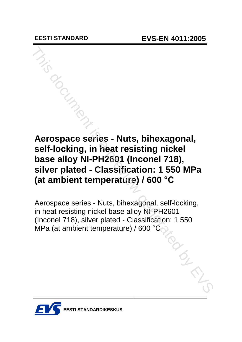# **Aerospace series - Nuts, bihexagonal, self-locking, in heat resisting nickel base alloy NI-PH2601 (Inconel 718), silver plated - Classification: 1 550 MPa (at ambient temperature) / 600 °C** Merospace series - Nuts, bihexagonal,<br>
self-locking, in heat resisting nickel<br>
base alloy NI-PH2601 (Inconel 718),<br>
silver plated - Classification: 1 550 MPa<br>
(at ambient temperature) / 600 °C<br>
Aerospace series - Nuts, bih

Aerospace series - Nuts, bihexagonal, self-locking, in heat resisting nickel base alloy NI-PH2601 (Inconel 718), silver plated - Classification: 1 550 MPa (at ambient temperature) / 600 °C

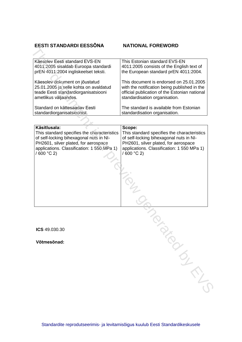# **EESTI STANDARDI EESS'NA NATIONAL FOREWORD**

| LLJII JIANDANDI LLJJUNA                     | IATIVINAL FUNLIIVUND                          |
|---------------------------------------------|-----------------------------------------------|
|                                             |                                               |
|                                             |                                               |
| Käesolev Eesti standard EVS-EN              | This Estonian standard EVS-EN                 |
| 4011:2005 sisaldab Euroopa standardi        | 4011:2005 consists of the English text of     |
| prEN 4011:2004 ingliskeelset teksti.        | the European standard prEN 4011:2004.         |
| Käesolev dokument on jõustatud              | This document is endorsed on 25.01.2005       |
| 25.01.2005 ja selle kohta on avaldatud      | with the notification being published in the  |
| teade Eesti standardiorganisatsiooni        | official publication of the Estonian national |
| ametlikus väljaandes.                       | standardisation organisation.                 |
| Standard on kättesaadav Eesti               | The standard is available from Estonian       |
| standardiorganisatsioonist.                 | standardisation organisation.                 |
|                                             |                                               |
| Käsitlusala:                                | Scope:                                        |
| This standard specifies the characteristics | This standard specifies the characteristics   |
| of self-locking bihexagonal nuts in NI-     | of self-locking bihexagonal nuts in NI-       |
| PH2601, silver plated, for aerospace        | PH2601, silver plated, for aerospace          |
| applications. Classification: 1 550 MPa 1)  | applications. Classification: 1 550 MPa 1)    |
| / 600 °C 2)                                 | $/600 °C$ 2)                                  |
|                                             |                                               |
|                                             |                                               |
|                                             |                                               |
|                                             |                                               |
|                                             |                                               |
|                                             |                                               |
|                                             |                                               |
|                                             |                                               |
|                                             |                                               |
|                                             |                                               |
|                                             |                                               |
| <b>ICS</b> 49.030.30                        |                                               |
|                                             |                                               |
| Võtmesõnad:                                 |                                               |
|                                             |                                               |
|                                             |                                               |
|                                             |                                               |
|                                             |                                               |
|                                             |                                               |
|                                             |                                               |
|                                             |                                               |
|                                             |                                               |
|                                             |                                               |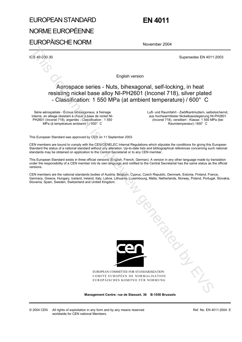# EUROPEAN STANDARD NORME EUROPÉENNE EUROPÄISCHE NORM

# **EN 4011**

November 2004

ICS 49.030.30 Supersedes EN 4011:2003

English version

# Aerospace series - Nuts, bihexagonal, self-locking, in heat resisting nickel base alloy NI-PH2601 (Inconel 718), silver plated - Classification: 1 550 MPa (at ambient temperature) / 600° C

Série aérospatiale - Écrous bihexagonaux, à freinage interne, en alliage résistant à chaud à base de nickel NI-PH2601 (Inconel 718), argentés - Classification : 1 550 MPa (à température ambiante ) / 600° C

 Luft- und Raumfahrt - Zwölfkantmuttern, selbstsichernd, aus hochwarmfester Nickelbasislegierung NI-PH2601 (Inconel 718), versilbert - Klasse: 1 550 MPa (bei Raumtemperatur) / 600° C

This European Standard was approved by CEN on 11 September 2003.

CEN members are bound to comply with the CEN/CENELEC Internal Regulations which stipulate the conditions for giving this European Standard the status of a national standard without any alteration. Up-to-date lists and bibliographical references concerning such national standards may be obtained on application to the Central Secretariat or to any CEN member.

This European Standard exists in three official versions (English, French, German). A version in any other language made by translation under the responsibility of a CEN member into its own language and notified to the Central Secretariat has the same status as the official versions.

CEN members are the national standards bodies of Austria, Belgium, Cyprus, Czech Republic, Denmark, Estonia, Finland, France, Germany, Greece, Hungary, Iceland, Ireland, Italy, Latvia, Lithuania, Luxembourg, Malta, Netherlands, Norway, Poland, Portugal, Slovakia, Slovenia, Spain, Sweden, Switzerland and United Kingdom.



EUROPEAN COMMITTEE FOR STANDARDIZATION COMITÉ EUROPÉEN DE NORMALISATION EUROPÄISCHES KOMITEE FÜR NORMUNG

**Management Centre: rue de Stassart, 36 B-1050 Brussels**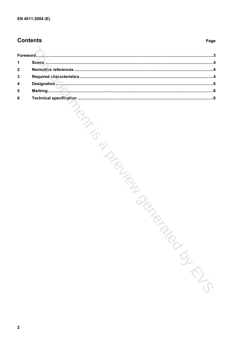# **Contents**

#### Page

| 1                       |          |
|-------------------------|----------|
| $\mathbf{2}$            |          |
| 3                       |          |
| 4                       |          |
| 5                       |          |
| 6                       |          |
| $\overline{\mathbf{2}}$ | -150°/EV |
|                         |          |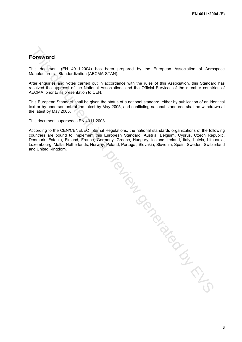# **Foreword**

This document (EN 4011:2004) has been prepared by the European Association of Aerospace Manufacturers - Standardization (AECMA-STAN).

After enquiries and votes carried out in accordance with the rules of this Association, this Standard has received the approval of the National Associations and the Official Services of the member countries of AECMA, prior to its presentation to CEN.

This European Standard shall be given the status of a national standard, either by publication of an identical text or by endorsement, at the latest by May 2005, and conflicting national standards shall be withdrawn at the latest by May 2005.

This document supersedes EN 4011:2003.

According to the CEN/CENELEC Internal Regulations, the national standards organizations of the following countries are bound to implement this European Standard: Austria, Belgium, Cyprus, Czech Republic, Denmark, Estonia, Finland, France, Germany, Greece, Hungary, Iceland, Ireland, Italy, Latvia, Lithuania, Luxembourg, Malta, Netherlands, Norway, Poland, Portugal, Slovakia, Slovenia, Spain, Sweden, Switzerland

Demmark. Estonia, ruinant, theoriands, Norway, Poland, Portugal, Slovakia, Slovania, Sperin, Sperin, Steinera<br>and United Kingdom.